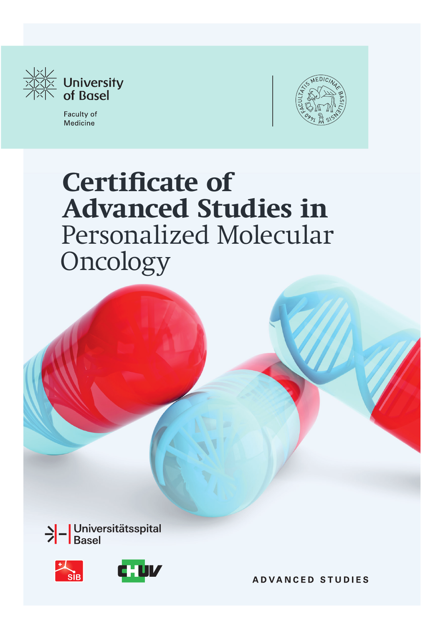

Faculty of Medicine



# **Certificate of Advanced Studies in**  Personalized Molecular Oncology





**ADVANCED STUDIES**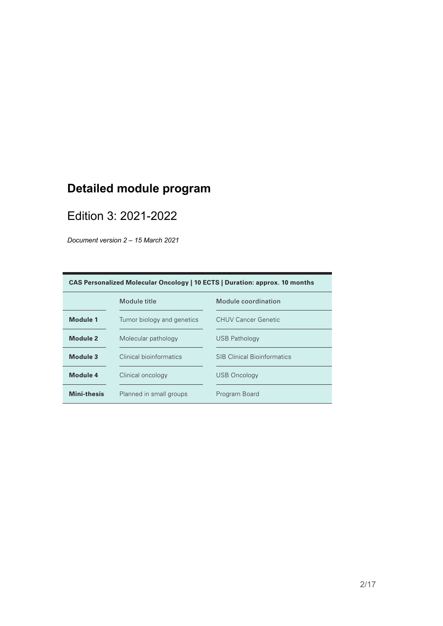#### **Detailed module program** (ii) molecular pathology, (iii) clinical bioinformatics, and (iv) clinical oncology.  $\mathsf{m}$

### Edition 3: 2021-2022

*Document version 2 – 15 March 2021*  $Document$  version  $2 - 15$  March  $2021$ 

| CAS Personalized Molecular Oncology   10 ECTS   Duration: approx. 10 months |                            |                                    |
|-----------------------------------------------------------------------------|----------------------------|------------------------------------|
|                                                                             | Module title               | Module coordination                |
| Module 1                                                                    | Tumor biology and genetics | CHUV Cancer Genetic                |
| Module 2                                                                    | Molecular pathology        | USB Pathology                      |
| Module 3                                                                    | Clinical bioinformatics    | <b>SIB Clinical Bioinformatics</b> |
| Module 4                                                                    | Clinical oncology          | <b>USB Oncology</b>                |
| <b>Mini-thesis</b>                                                          | Planned in small groups    | Program Board                      |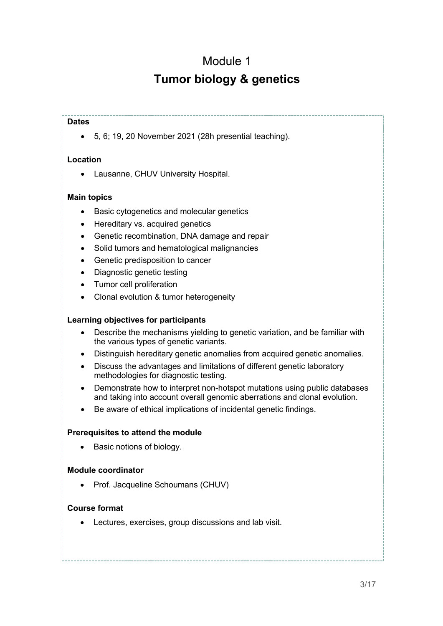### Module 1 **Tumor biology & genetics**

#### **Dates**

• 5, 6; 19, 20 November 2021 (28h presential teaching).

#### **Location**

• Lausanne, CHUV University Hospital.

#### **Main topics**

- Basic cytogenetics and molecular genetics
- Hereditary vs. acquired genetics
- Genetic recombination, DNA damage and repair
- Solid tumors and hematological malignancies
- Genetic predisposition to cancer
- Diagnostic genetic testing
- Tumor cell proliferation
- Clonal evolution & tumor heterogeneity

#### **Learning objectives for participants**

- Describe the mechanisms yielding to genetic variation, and be familiar with the various types of genetic variants.
- Distinguish hereditary genetic anomalies from acquired genetic anomalies.
- Discuss the advantages and limitations of different genetic laboratory methodologies for diagnostic testing.
- Demonstrate how to interpret non-hotspot mutations using public databases and taking into account overall genomic aberrations and clonal evolution.
- Be aware of ethical implications of incidental genetic findings.

#### **Prerequisites to attend the module**

• Basic notions of biology.

#### **Module coordinator**

• Prof. Jacqueline Schoumans (CHUV)

#### **Course format**

• Lectures, exercises, group discussions and lab visit.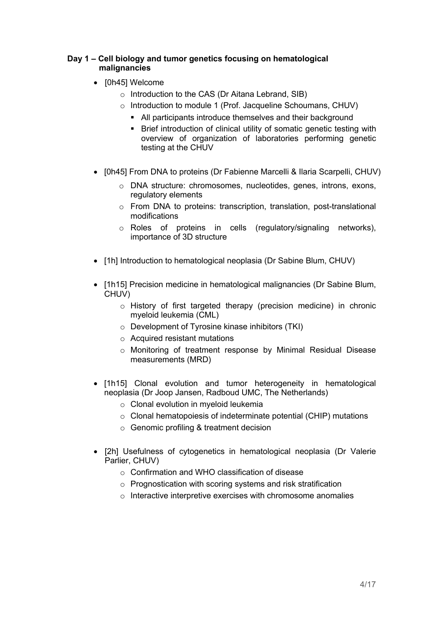#### **Day 1 – Cell biology and tumor genetics focusing on hematological malignancies**

- [0h45] Welcome
	- o Introduction to the CAS (Dr Aitana Lebrand, SIB)
	- o Introduction to module 1 (Prof. Jacqueline Schoumans, CHUV)
		- § All participants introduce themselves and their background
		- Brief introduction of clinical utility of somatic genetic testing with overview of organization of laboratories performing genetic testing at the CHUV
- [0h45] From DNA to proteins (Dr Fabienne Marcelli & Ilaria Scarpelli, CHUV)
	- o DNA structure: chromosomes, nucleotides, genes, introns, exons, regulatory elements
	- o From DNA to proteins: transcription, translation, post-translational modifications
	- o Roles of proteins in cells (regulatory/signaling networks), importance of 3D structure
- [1h] Introduction to hematological neoplasia (Dr Sabine Blum, CHUV)
- [1h15] Precision medicine in hematological malignancies (Dr Sabine Blum, CHUV)
	- o History of first targeted therapy (precision medicine) in chronic myeloid leukemia (CML)
	- o Development of Tyrosine kinase inhibitors (TKI)
	- $\circ$  Acquired resistant mutations
	- o Monitoring of treatment response by Minimal Residual Disease measurements (MRD)
- [1h15] Clonal evolution and tumor heterogeneity in hematological neoplasia (Dr Joop Jansen, Radboud UMC, The Netherlands)
	- o Clonal evolution in myeloid leukemia
	- o Clonal hematopoiesis of indeterminate potential (CHIP) mutations
	- o Genomic profiling & treatment decision
- [2h] Usefulness of cytogenetics in hematological neoplasia (Dr Valerie Parlier, CHUV)
	- o Confirmation and WHO classification of disease
	- o Prognostication with scoring systems and risk stratification
	- o Interactive interpretive exercises with chromosome anomalies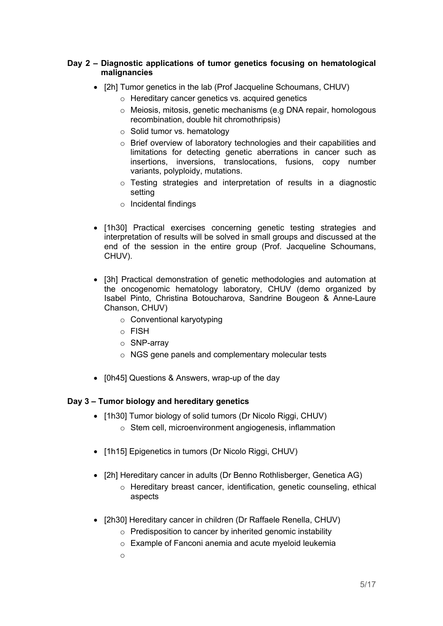#### **Day 2 – Diagnostic applications of tumor genetics focusing on hematological malignancies**

- [2h] Tumor genetics in the lab (Prof Jacqueline Schoumans, CHUV)
	- o Hereditary cancer genetics vs. acquired genetics
	- o Meiosis, mitosis, genetic mechanisms (e.g DNA repair, homologous recombination, double hit chromothripsis)
	- o Solid tumor vs. hematology
	- o Brief overview of laboratory technologies and their capabilities and limitations for detecting genetic aberrations in cancer such as insertions, inversions, translocations, fusions, copy number variants, polyploidy, mutations.
	- o Testing strategies and interpretation of results in a diagnostic setting
	- o Incidental findings
- [1h30] Practical exercises concerning genetic testing strategies and interpretation of results will be solved in small groups and discussed at the end of the session in the entire group (Prof. Jacqueline Schoumans, CHUV).
- [3h] Practical demonstration of genetic methodologies and automation at the oncogenomic hematology laboratory, CHUV (demo organized by Isabel Pinto, Christina Botoucharova, Sandrine Bougeon & Anne-Laure Chanson, CHUV)
	- o Conventional karyotyping
	- o FISH
	- o SNP-array
	- o NGS gene panels and complementary molecular tests
- [0h45] Questions & Answers, wrap-up of the day

#### **Day 3 – Tumor biology and hereditary genetics**

- [1h30] Tumor biology of solid tumors (Dr Nicolo Riggi, CHUV) o Stem cell, microenvironment angiogenesis, inflammation
- [1h15] Epigenetics in tumors (Dr Nicolo Riggi, CHUV)
- [2h] Hereditary cancer in adults (Dr Benno Rothlisberger, Genetica AG)
	- o Hereditary breast cancer, identification, genetic counseling, ethical aspects
- [2h30] Hereditary cancer in children (Dr Raffaele Renella, CHUV)
	- o Predisposition to cancer by inherited genomic instability
	- o Example of Fanconi anemia and acute myeloid leukemia
	- o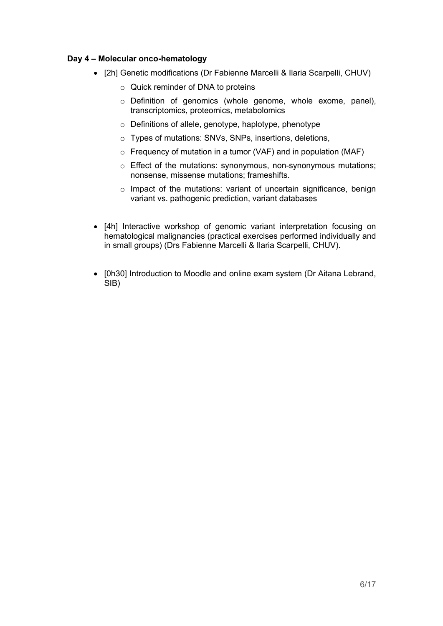#### **Day 4 – Molecular onco-hematology**

- [2h] Genetic modifications (Dr Fabienne Marcelli & Ilaria Scarpelli, CHUV)
	- o Quick reminder of DNA to proteins
	- o Definition of genomics (whole genome, whole exome, panel), transcriptomics, proteomics, metabolomics
	- o Definitions of allele, genotype, haplotype, phenotype
	- o Types of mutations: SNVs, SNPs, insertions, deletions,
	- $\circ$  Frequency of mutation in a tumor (VAF) and in population (MAF)
	- o Effect of the mutations: synonymous, non-synonymous mutations; nonsense, missense mutations; frameshifts.
	- o Impact of the mutations: variant of uncertain significance, benign variant vs. pathogenic prediction, variant databases
- [4h] Interactive workshop of genomic variant interpretation focusing on hematological malignancies (practical exercises performed individually and in small groups) (Drs Fabienne Marcelli & Ilaria Scarpelli, CHUV).
- [0h30] Introduction to Moodle and online exam system (Dr Aitana Lebrand, SIB)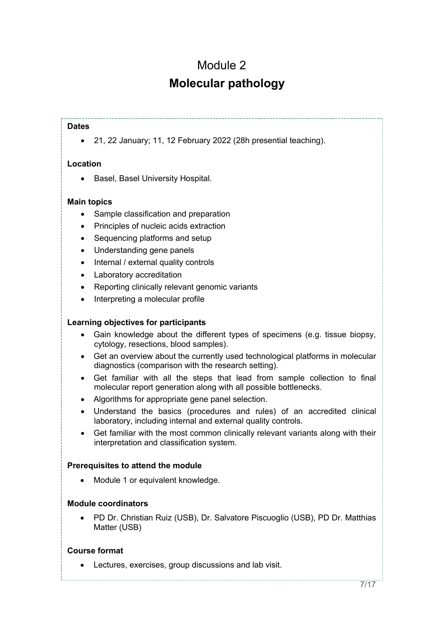## Module 2 **Molecular pathology**

#### **Dates**

• 21, 22 January; 11, 12 February 2022 (28h presential teaching).

#### **Location**

• Basel, Basel University Hospital.

#### **Main topics**

- Sample classification and preparation
- Principles of nucleic acids extraction
- Sequencing platforms and setup
- Understanding gene panels
- Internal / external quality controls
- Laboratory accreditation
- Reporting clinically relevant genomic variants
- Interpreting a molecular profile

#### **Learning objectives for participants**

- Gain knowledge about the different types of specimens (e.g. tissue biopsy, cytology, resections, blood samples).
- Get an overview about the currently used technological platforms in molecular diagnostics (comparison with the research setting).
- Get familiar with all the steps that lead from sample collection to final molecular report generation along with all possible bottlenecks.
- Algorithms for appropriate gene panel selection.
- Understand the basics (procedures and rules) of an accredited clinical laboratory, including internal and external quality controls.
- Get familiar with the most common clinically relevant variants along with their interpretation and classification system.

#### **Prerequisites to attend the module**

• Module 1 or equivalent knowledge.

#### **Module coordinators**

• PD Dr. Christian Ruiz (USB), Dr. Salvatore Piscuoglio (USB), PD Dr. Matthias Matter (USB)

#### **Course format**

• Lectures, exercises, group discussions and lab visit.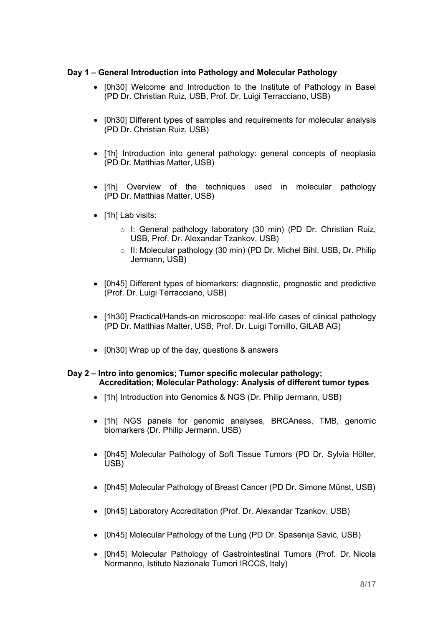#### **Day 1 – General Introduction into Pathology and Molecular Pathology**

- [0h30] Welcome and Introduction to the Institute of Pathology in Basel (PD Dr. Christian Ruiz, USB, Prof. Dr. Luigi Terracciano, USB)
- [0h30] Different types of samples and requirements for molecular analysis (PD Dr. Christian Ruiz, USB)
- [1h] Introduction into general pathology: general concepts of neoplasia (PD Dr. Matthias Matter, USB)
- [1h] Overview of the techniques used in molecular pathology (PD Dr. Matthias Matter, USB)
- [1h] Lab visits:
	- o I: General pathology laboratory (30 min) (PD Dr. Christian Ruiz, USB, Prof. Dr. Alexandar Tzankov, USB)
	- o II: Molecular pathology (30 min) (PD Dr. Michel Bihl, USB, Dr. Philip Jermann, USB)
- [0h45] Different types of biomarkers: diagnostic, prognostic and predictive (Prof. Dr. Luigi Terracciano, USB)
- [1h30] Practical/Hands-on microscope: real-life cases of clinical pathology (PD Dr. Matthias Matter, USB, Prof. Dr. Luigi Tornillo, GILAB AG)
- [0h30] Wrap up of the day, questions & answers

#### **Day 2 – Intro into genomics; Tumor specific molecular pathology; Accreditation; Molecular Pathology: Analysis of different tumor types**

- [1h] Introduction into Genomics & NGS (Dr. Philip Jermann, USB)
- [1h] NGS panels for genomic analyses, BRCAness, TMB, genomic biomarkers (Dr. Philip Jermann, USB)
- [0h45] Molecular Pathology of Soft Tissue Tumors (PD Dr. Sylvia Höller, USB)
- [0h45] Molecular Pathology of Breast Cancer (PD Dr. Simone Münst, USB)
- [0h45] Laboratory Accreditation (Prof. Dr. Alexandar Tzankov, USB)
- [0h45] Molecular Pathology of the Lung (PD Dr. Spasenija Savic, USB)
- [0h45] Molecular Pathology of Gastrointestinal Tumors (Prof. Dr. Nicola Normanno, Istituto Nazionale Tumori IRCCS, Italy)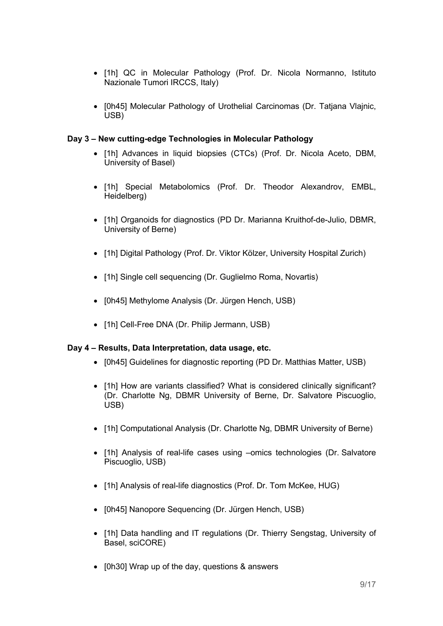- [1h] QC in Molecular Pathology (Prof. Dr. Nicola Normanno, Istituto Nazionale Tumori IRCCS, Italy)
- [0h45] Molecular Pathology of Urothelial Carcinomas (Dr. Tatjana Vlajnic, USB)

#### **Day 3 – New cutting-edge Technologies in Molecular Pathology**

- [1h] Advances in liquid biopsies (CTCs) (Prof. Dr. Nicola Aceto, DBM, University of Basel)
- [1h] Special Metabolomics (Prof. Dr. Theodor Alexandrov, EMBL, Heidelberg)
- [1h] Organoids for diagnostics (PD Dr. Marianna Kruithof-de-Julio, DBMR, University of Berne)
- [1h] Digital Pathology (Prof. Dr. Viktor Kölzer, University Hospital Zurich)
- [1h] Single cell sequencing (Dr. Guglielmo Roma, Novartis)
- [0h45] Methylome Analysis (Dr. Jürgen Hench, USB)
- [1h] Cell-Free DNA (Dr. Philip Jermann, USB)

#### **Day 4 – Results, Data Interpretation, data usage, etc.**

- [0h45] Guidelines for diagnostic reporting (PD Dr. Matthias Matter, USB)
- [1h] How are variants classified? What is considered clinically significant? (Dr. Charlotte Ng, DBMR University of Berne, Dr. Salvatore Piscuoglio, USB)
- [1h] Computational Analysis (Dr. Charlotte Ng, DBMR University of Berne)
- [1h] Analysis of real-life cases using –omics technologies (Dr. Salvatore Piscuoglio, USB)
- [1h] Analysis of real-life diagnostics (Prof. Dr. Tom McKee, HUG)
- [0h45] Nanopore Sequencing (Dr. Jürgen Hench, USB)
- [1h] Data handling and IT regulations (Dr. Thierry Sengstag, University of Basel, sciCORE)
- [0h30] Wrap up of the day, questions & answers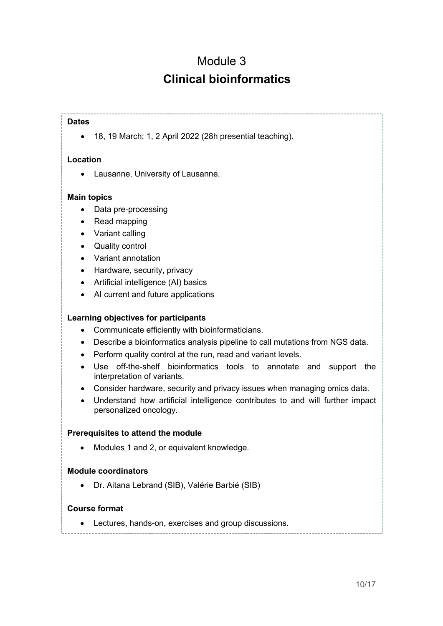### Module 3 **Clinical bioinformatics**

#### **Dates**

• 18, 19 March; 1, 2 April 2022 (28h presential teaching).

#### **Location**

• Lausanne, University of Lausanne.

#### **Main topics**

- Data pre-processing
- Read mapping
- Variant calling
- Quality control
- Variant annotation
- Hardware, security, privacy
- Artificial intelligence (AI) basics
- AI current and future applications

#### **Learning objectives for participants**

- Communicate efficiently with bioinformaticians.
- Describe a bioinformatics analysis pipeline to call mutations from NGS data.
- Perform quality control at the run, read and variant levels.
- Use off-the-shelf bioinformatics tools to annotate and support the interpretation of variants.
- Consider hardware, security and privacy issues when managing omics data.
- Understand how artificial intelligence contributes to and will further impact personalized oncology.

#### **Prerequisites to attend the module**

• Modules 1 and 2, or equivalent knowledge.

#### **Module coordinators**

• Dr. Aitana Lebrand (SIB), Valérie Barbié (SIB)

#### **Course format**

• Lectures, hands-on, exercises and group discussions.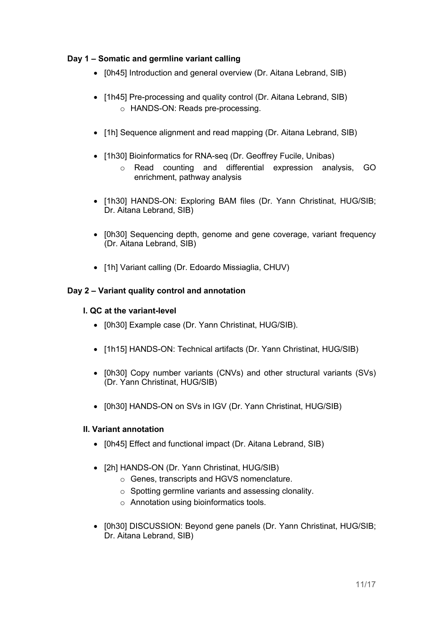### **Day 1 – Somatic and germline variant calling**

- [0h45] Introduction and general overview (Dr. Aitana Lebrand, SIB)
- [1h45] Pre-processing and quality control (Dr. Aitana Lebrand, SIB) o HANDS-ON: Reads pre-processing.
- [1h] Sequence alignment and read mapping (Dr. Aitana Lebrand, SIB)
- [1h30] Bioinformatics for RNA-seq (Dr. Geoffrey Fucile, Unibas)
	- o Read counting and differential expression analysis, GO enrichment, pathway analysis
- [1h30] HANDS-ON: Exploring BAM files (Dr. Yann Christinat, HUG/SIB; Dr. Aitana Lebrand, SIB)
- [0h30] Sequencing depth, genome and gene coverage, variant frequency (Dr. Aitana Lebrand, SIB)
- [1h] Variant calling (Dr. Edoardo Missiaglia, CHUV)

#### **Day 2 – Variant quality control and annotation**

#### **I. QC at the variant-level**

- [0h30] Example case (Dr. Yann Christinat, HUG/SIB).
- [1h15] HANDS-ON: Technical artifacts (Dr. Yann Christinat, HUG/SIB)
- [0h30] Copy number variants (CNVs) and other structural variants (SVs) (Dr. Yann Christinat, HUG/SIB)
- [0h30] HANDS-ON on SVs in IGV (Dr. Yann Christinat, HUG/SIB)

#### **II. Variant annotation**

- **[0h45] Effect and functional impact (Dr. Aitana Lebrand, SIB)**
- [2h] HANDS-ON (Dr. Yann Christinat, HUG/SIB)
	- o Genes, transcripts and HGVS nomenclature.
	- o Spotting germline variants and assessing clonality.
	- o Annotation using bioinformatics tools.
- [0h30] DISCUSSION: Beyond gene panels (Dr. Yann Christinat, HUG/SIB; Dr. Aitana Lebrand, SIB)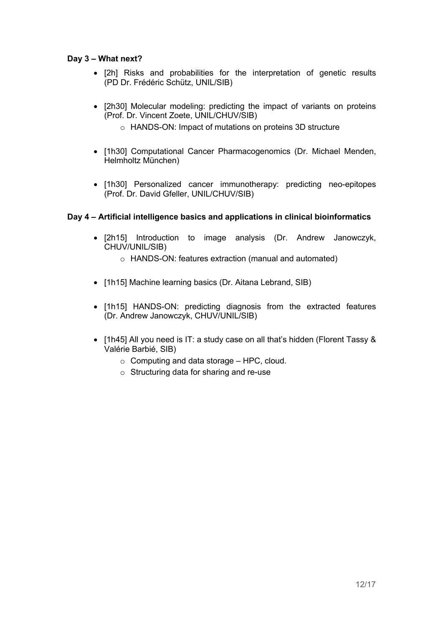#### **Day 3 – What next?**

- [2h] Risks and probabilities for the interpretation of genetic results (PD Dr. Frédéric Schütz, UNIL/SIB)
- [2h30] Molecular modeling: predicting the impact of variants on proteins (Prof. Dr. Vincent Zoete, UNIL/CHUV/SIB)
	- o HANDS-ON: Impact of mutations on proteins 3D structure
- [1h30] Computational Cancer Pharmacogenomics (Dr. Michael Menden, Helmholtz München)
- [1h30] Personalized cancer immunotherapy: predicting neo-epitopes (Prof. Dr. David Gfeller, UNIL/CHUV/SIB)

#### **Day 4 – Artificial intelligence basics and applications in clinical bioinformatics**

- [2h15] Introduction to image analysis (Dr. Andrew Janowczyk, CHUV/UNIL/SIB)
	- o HANDS-ON: features extraction (manual and automated)
- [1h15] Machine learning basics (Dr. Aitana Lebrand, SIB)
- [1h15] HANDS-ON: predicting diagnosis from the extracted features (Dr. Andrew Janowczyk, CHUV/UNIL/SIB)
- [1h45] All you need is IT: a study case on all that's hidden (Florent Tassy & Valérie Barbié, SIB)
	- $\circ$  Computing and data storage HPC, cloud.
	- o Structuring data for sharing and re-use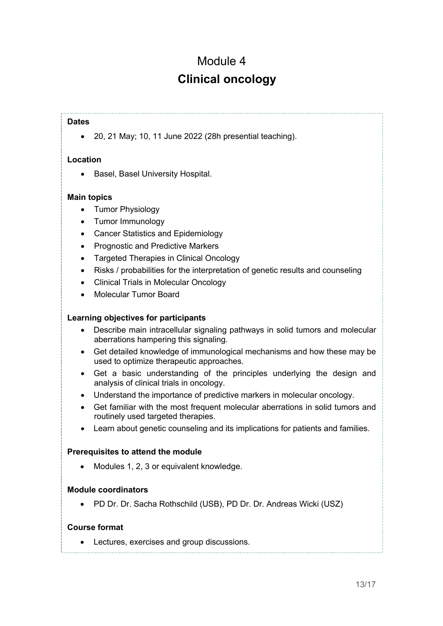### Module 4 **Clinical oncology**

#### **Dates**

• 20, 21 May; 10, 11 June 2022 (28h presential teaching).

#### **Location**

• Basel, Basel University Hospital.

#### **Main topics**

- Tumor Physiology
- Tumor Immunology
- Cancer Statistics and Epidemiology
- Prognostic and Predictive Markers
- Targeted Therapies in Clinical Oncology
- Risks / probabilities for the interpretation of genetic results and counseling
- Clinical Trials in Molecular Oncology
- Molecular Tumor Board

#### **Learning objectives for participants**

- Describe main intracellular signaling pathways in solid tumors and molecular aberrations hampering this signaling.
- Get detailed knowledge of immunological mechanisms and how these may be used to optimize therapeutic approaches.
- Get a basic understanding of the principles underlying the design and analysis of clinical trials in oncology.
- Understand the importance of predictive markers in molecular oncology.
- Get familiar with the most frequent molecular aberrations in solid tumors and routinely used targeted therapies.
- Learn about genetic counseling and its implications for patients and families.

#### **Prerequisites to attend the module**

• Modules 1, 2, 3 or equivalent knowledge.

#### **Module coordinators**

• PD Dr. Dr. Sacha Rothschild (USB), PD Dr. Dr. Andreas Wicki (USZ)

#### **Course format**

• Lectures, exercises and group discussions.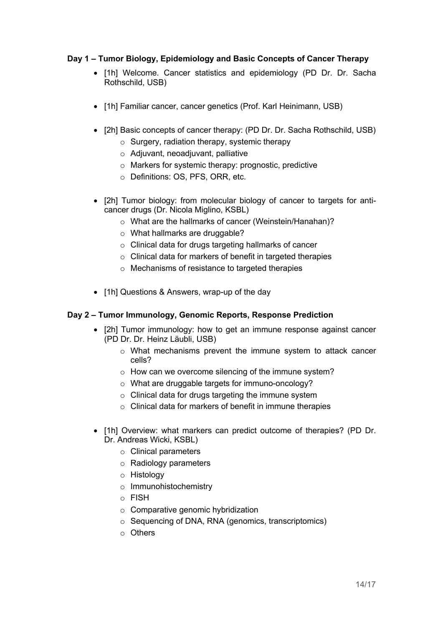#### **Day 1 – Tumor Biology, Epidemiology and Basic Concepts of Cancer Therapy**

- [1h] Welcome. Cancer statistics and epidemiology (PD Dr. Dr. Sacha Rothschild, USB)
- [1h] Familiar cancer, cancer genetics (Prof. Karl Heinimann, USB)
- [2h] Basic concepts of cancer therapy: (PD Dr. Dr. Sacha Rothschild, USB)
	- o Surgery, radiation therapy, systemic therapy
	- o Adjuvant, neoadjuvant, palliative
	- o Markers for systemic therapy: prognostic, predictive
	- o Definitions: OS, PFS, ORR, etc.
- [2h] Tumor biology: from molecular biology of cancer to targets for anticancer drugs (Dr. Nicola Miglino, KSBL)
	- o What are the hallmarks of cancer (Weinstein/Hanahan)?
	- o What hallmarks are druggable?
	- o Clinical data for drugs targeting hallmarks of cancer
	- o Clinical data for markers of benefit in targeted therapies
	- o Mechanisms of resistance to targeted therapies
- [1h] Questions & Answers, wrap-up of the day

#### **Day 2 – Tumor Immunology, Genomic Reports, Response Prediction**

- [2h] Tumor immunology: how to get an immune response against cancer (PD Dr. Dr. Heinz Läubli, USB)
	- o What mechanisms prevent the immune system to attack cancer cells?
	- o How can we overcome silencing of the immune system?
	- o What are druggable targets for immuno-oncology?
	- o Clinical data for drugs targeting the immune system
	- o Clinical data for markers of benefit in immune therapies
- [1h] Overview: what markers can predict outcome of therapies? (PD Dr. Dr. Andreas Wicki, KSBL)
	- o Clinical parameters
	- o Radiology parameters
	- o Histology
	- o Immunohistochemistry
	- o FISH
	- $\circ$  Comparative genomic hybridization
	- o Sequencing of DNA, RNA (genomics, transcriptomics)
	- o Others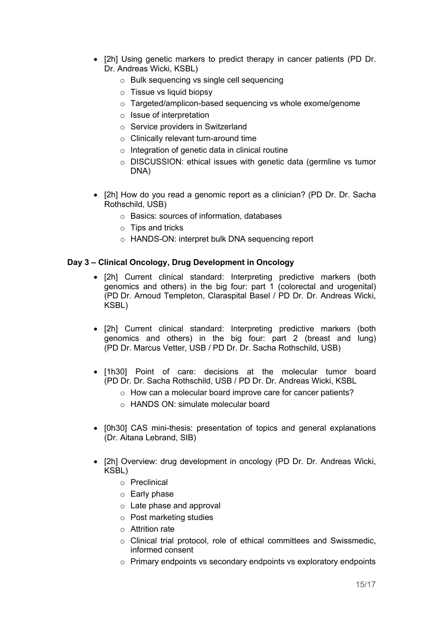- [2h] Using genetic markers to predict therapy in cancer patients (PD Dr. Dr. Andreas Wicki, KSBL)
	- o Bulk sequencing vs single cell sequencing
	- o Tissue vs liquid biopsy
	- o Targeted/amplicon-based sequencing vs whole exome/genome
	- o Issue of interpretation
	- o Service providers in Switzerland
	- o Clinically relevant turn-around time
	- $\circ$  Integration of genetic data in clinical routine
	- o DISCUSSION: ethical issues with genetic data (germline vs tumor DNA)
- [2h] How do you read a genomic report as a clinician? (PD Dr. Dr. Sacha Rothschild, USB)
	- o Basics: sources of information, databases
	- o Tips and tricks
	- o HANDS-ON: interpret bulk DNA sequencing report

#### **Day 3 – Clinical Oncology, Drug Development in Oncology**

- [2h] Current clinical standard: Interpreting predictive markers (both genomics and others) in the big four: part 1 (colorectal and urogenital) (PD Dr. Arnoud Templeton, Claraspital Basel / PD Dr. Dr. Andreas Wicki, KSBL)
- [2h] Current clinical standard: Interpreting predictive markers (both genomics and others) in the big four: part 2 (breast and lung) (PD Dr. Marcus Vetter, USB / PD Dr. Dr. Sacha Rothschild, USB)
- [1h30] Point of care: decisions at the molecular tumor board (PD Dr. Dr. Sacha Rothschild, USB / PD Dr. Dr. Andreas Wicki, KSBL
	- o How can a molecular board improve care for cancer patients?
	- o HANDS ON: simulate molecular board
- [0h30] CAS mini-thesis: presentation of topics and general explanations (Dr. Aitana Lebrand, SIB)
- [2h] Overview: drug development in oncology (PD Dr. Dr. Andreas Wicki, KSBL)
	- o Preclinical
	- o Early phase
	- o Late phase and approval
	- o Post marketing studies
	- o Attrition rate
	- o Clinical trial protocol, role of ethical committees and Swissmedic, informed consent
	- o Primary endpoints vs secondary endpoints vs exploratory endpoints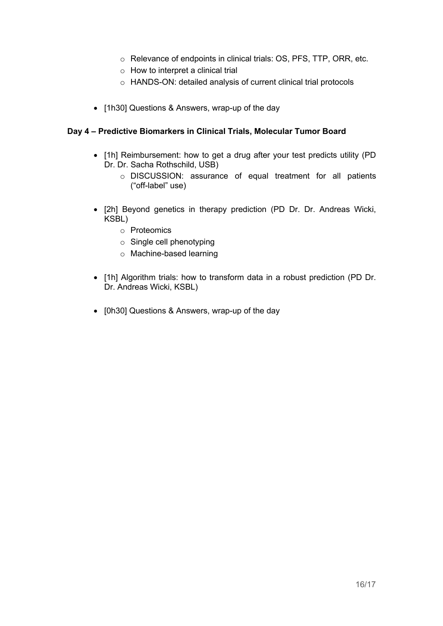- o Relevance of endpoints in clinical trials: OS, PFS, TTP, ORR, etc.
- $\circ$  How to interpret a clinical trial
- o HANDS-ON: detailed analysis of current clinical trial protocols
- [1h30] Questions & Answers, wrap-up of the day

#### **Day 4 – Predictive Biomarkers in Clinical Trials, Molecular Tumor Board**

- [1h] Reimbursement: how to get a drug after your test predicts utility (PD Dr. Dr. Sacha Rothschild, USB)
	- o DISCUSSION: assurance of equal treatment for all patients ("off-label" use)
- [2h] Beyond genetics in therapy prediction (PD Dr. Dr. Andreas Wicki, KSBL)
	- o Proteomics
	- o Single cell phenotyping
	- o Machine-based learning
- [1h] Algorithm trials: how to transform data in a robust prediction (PD Dr. Dr. Andreas Wicki, KSBL)
- [0h30] Questions & Answers, wrap-up of the day